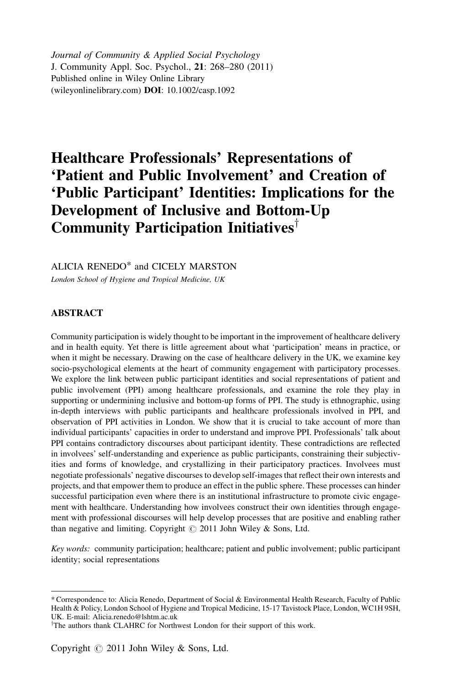Journal of Community & Applied Social Psychology J. Community Appl. Soc. Psychol., 21: 268–280 (2011) Published online in Wiley Online Library (wileyonlinelibrary.com) DOI: 10.1002/casp.1092

# Healthcare Professionals' Representations of 'Patient and Public Involvement' and Creation of 'Public Participant' Identities: Implications for the Development of Inclusive and Bottom-Up Community Participation Initiatives<sup>†</sup>

ALICIA RENEDO\* and CICELY MARSTON

London School of Hygiene and Tropical Medicine, UK

## ABSTRACT

Community participation is widely thought to be important in the improvement of healthcare delivery and in health equity. Yet there is little agreement about what 'participation' means in practice, or when it might be necessary. Drawing on the case of healthcare delivery in the UK, we examine key socio-psychological elements at the heart of community engagement with participatory processes. We explore the link between public participant identities and social representations of patient and public involvement (PPI) among healthcare professionals, and examine the role they play in supporting or undermining inclusive and bottom-up forms of PPI. The study is ethnographic, using in-depth interviews with public participants and healthcare professionals involved in PPI, and observation of PPI activities in London. We show that it is crucial to take account of more than individual participants' capacities in order to understand and improve PPI. Professionals' talk about PPI contains contradictory discourses about participant identity. These contradictions are reflected in involvees' self-understanding and experience as public participants, constraining their subjectivities and forms of knowledge, and crystallizing in their participatory practices. Involvees must negotiate professionals' negative discourses to develop self-images that reflect their own interests and projects, and that empower them to produce an effect in the public sphere. These processes can hinder successful participation even where there is an institutional infrastructure to promote civic engagement with healthcare. Understanding how involvees construct their own identities through engagement with professional discourses will help develop processes that are positive and enabling rather than negative and limiting. Copyright  $\odot$  2011 John Wiley & Sons, Ltd.

Key words: community participation; healthcare; patient and public involvement; public participant identity; social representations

<sup>\*</sup> Correspondence to: Alicia Renedo, Department of Social & Environmental Health Research, Faculty of Public Health & Policy, London School of Hygiene and Tropical Medicine, 15-17 Tavistock Place, London, WC1H 9SH, UK. E-mail: Alicia.renedo@lshtm.ac.uk

<sup>&</sup>lt;sup>†</sup>The authors thank CLAHRC for Northwest London for their support of this work.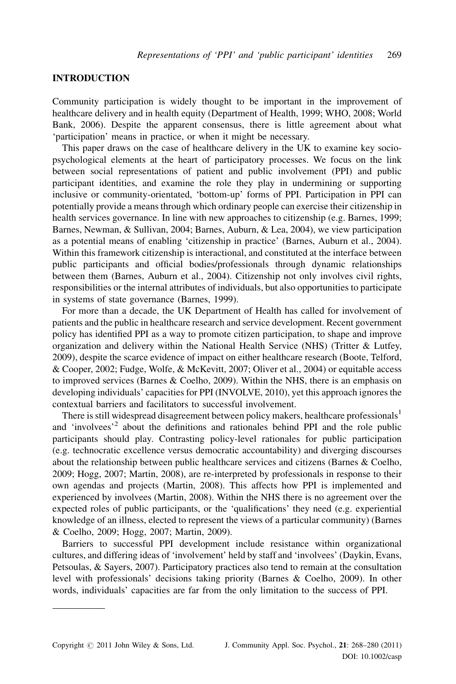## INTRODUCTION

Community participation is widely thought to be important in the improvement of healthcare delivery and in health equity (Department of Health, 1999; WHO, 2008; World Bank, 2006). Despite the apparent consensus, there is little agreement about what 'participation' means in practice, or when it might be necessary.

This paper draws on the case of healthcare delivery in the UK to examine key sociopsychological elements at the heart of participatory processes. We focus on the link between social representations of patient and public involvement (PPI) and public participant identities, and examine the role they play in undermining or supporting inclusive or community-orientated, 'bottom-up' forms of PPI. Participation in PPI can potentially provide a means through which ordinary people can exercise their citizenship in health services governance. In line with new approaches to citizenship (e.g. Barnes, 1999; Barnes, Newman, & Sullivan, 2004; Barnes, Auburn, & Lea, 2004), we view participation as a potential means of enabling 'citizenship in practice' (Barnes, Auburn et al., 2004). Within this framework citizenship is interactional, and constituted at the interface between public participants and official bodies/professionals through dynamic relationships between them (Barnes, Auburn et al., 2004). Citizenship not only involves civil rights, responsibilities or the internal attributes of individuals, but also opportunities to participate in systems of state governance (Barnes, 1999).

For more than a decade, the UK Department of Health has called for involvement of patients and the public in healthcare research and service development. Recent government policy has identified PPI as a way to promote citizen participation, to shape and improve organization and delivery within the National Health Service (NHS) (Tritter & Lutfey, 2009), despite the scarce evidence of impact on either healthcare research (Boote, Telford, & Cooper, 2002; Fudge, Wolfe, & McKevitt, 2007; Oliver et al., 2004) or equitable access to improved services (Barnes & Coelho, 2009). Within the NHS, there is an emphasis on developing individuals' capacities for PPI (INVOLVE, 2010), yet this approach ignores the contextual barriers and facilitators to successful involvement.

There is still widespread disagreement between policy makers, healthcare professionals<sup>1</sup> and 'involvees'<sup>2</sup> about the definitions and rationales behind PPI and the role public participants should play. Contrasting policy-level rationales for public participation (e.g. technocratic excellence versus democratic accountability) and diverging discourses about the relationship between public healthcare services and citizens (Barnes & Coelho, 2009; Hogg, 2007; Martin, 2008), are re-interpreted by professionals in response to their own agendas and projects (Martin, 2008). This affects how PPI is implemented and experienced by involvees (Martin, 2008). Within the NHS there is no agreement over the expected roles of public participants, or the 'qualifications' they need (e.g. experiential knowledge of an illness, elected to represent the views of a particular community) (Barnes & Coelho, 2009; Hogg, 2007; Martin, 2009).

Barriers to successful PPI development include resistance within organizational cultures, and differing ideas of 'involvement' held by staff and 'involvees' (Daykin, Evans, Petsoulas, & Sayers, 2007). Participatory practices also tend to remain at the consultation level with professionals' decisions taking priority (Barnes & Coelho, 2009). In other words, individuals' capacities are far from the only limitation to the success of PPI.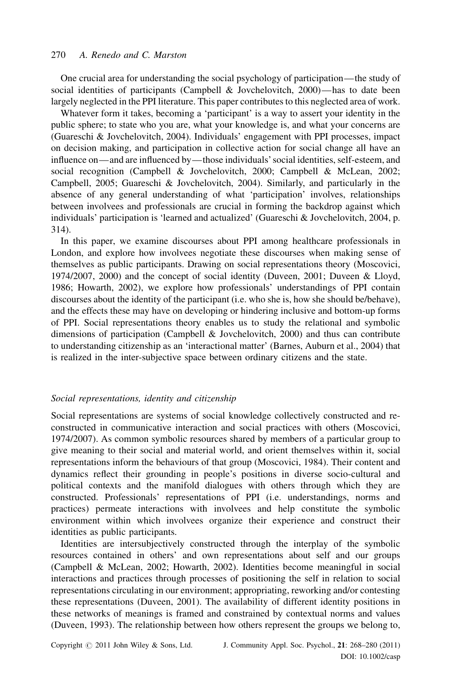#### 270 A. Renedo and C. Marston

One crucial area for understanding the social psychology of participation—the study of social identities of participants (Campbell & Jovchelovitch, 2000)—has to date been largely neglected in the PPI literature. This paper contributes to this neglected area of work.

Whatever form it takes, becoming a 'participant' is a way to assert your identity in the public sphere; to state who you are, what your knowledge is, and what your concerns are (Guareschi & Jovchelovitch, 2004). Individuals' engagement with PPI processes, impact on decision making, and participation in collective action for social change all have an influence on—and are influenced by—those individuals' social identities, self-esteem, and social recognition (Campbell & Jovchelovitch, 2000; Campbell & McLean, 2002; Campbell, 2005; Guareschi & Jovchelovitch, 2004). Similarly, and particularly in the absence of any general understanding of what 'participation' involves, relationships between involvees and professionals are crucial in forming the backdrop against which individuals' participation is 'learned and actualized' (Guareschi & Jovchelovitch, 2004, p. 314).

In this paper, we examine discourses about PPI among healthcare professionals in London, and explore how involvees negotiate these discourses when making sense of themselves as public participants. Drawing on social representations theory (Moscovici, 1974/2007, 2000) and the concept of social identity (Duveen, 2001; Duveen & Lloyd, 1986; Howarth, 2002), we explore how professionals' understandings of PPI contain discourses about the identity of the participant (i.e. who she is, how she should be/behave), and the effects these may have on developing or hindering inclusive and bottom-up forms of PPI. Social representations theory enables us to study the relational and symbolic dimensions of participation (Campbell & Jovchelovitch, 2000) and thus can contribute to understanding citizenship as an 'interactional matter' (Barnes, Auburn et al., 2004) that is realized in the inter-subjective space between ordinary citizens and the state.

## Social representations, identity and citizenship

Social representations are systems of social knowledge collectively constructed and reconstructed in communicative interaction and social practices with others (Moscovici, 1974/2007). As common symbolic resources shared by members of a particular group to give meaning to their social and material world, and orient themselves within it, social representations inform the behaviours of that group (Moscovici, 1984). Their content and dynamics reflect their grounding in people's positions in diverse socio-cultural and political contexts and the manifold dialogues with others through which they are constructed. Professionals' representations of PPI (i.e. understandings, norms and practices) permeate interactions with involvees and help constitute the symbolic environment within which involvees organize their experience and construct their identities as public participants.

Identities are intersubjectively constructed through the interplay of the symbolic resources contained in others' and own representations about self and our groups (Campbell & McLean, 2002; Howarth, 2002). Identities become meaningful in social interactions and practices through processes of positioning the self in relation to social representations circulating in our environment; appropriating, reworking and/or contesting these representations (Duveen, 2001). The availability of different identity positions in these networks of meanings is framed and constrained by contextual norms and values (Duveen, 1993). The relationship between how others represent the groups we belong to,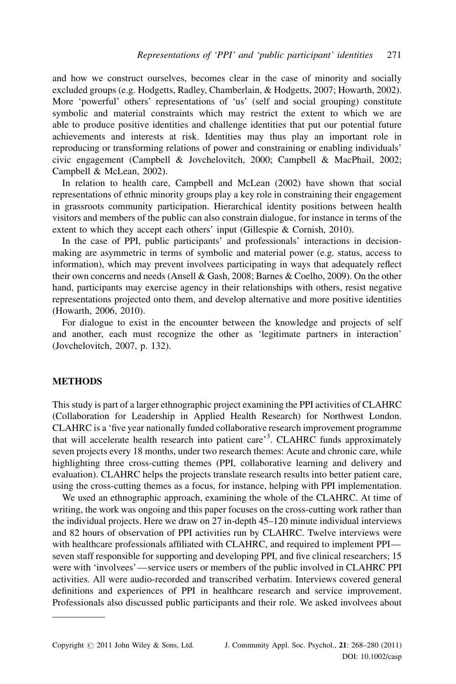and how we construct ourselves, becomes clear in the case of minority and socially excluded groups (e.g. Hodgetts, Radley, Chamberlain, & Hodgetts, 2007; Howarth, 2002). More 'powerful' others' representations of 'us' (self and social grouping) constitute symbolic and material constraints which may restrict the extent to which we are able to produce positive identities and challenge identities that put our potential future achievements and interests at risk. Identities may thus play an important role in reproducing or transforming relations of power and constraining or enabling individuals' civic engagement (Campbell & Jovchelovitch, 2000; Campbell & MacPhail, 2002; Campbell & McLean, 2002).

In relation to health care, Campbell and McLean (2002) have shown that social representations of ethnic minority groups play a key role in constraining their engagement in grassroots community participation. Hierarchical identity positions between health visitors and members of the public can also constrain dialogue, for instance in terms of the extent to which they accept each others' input (Gillespie & Cornish, 2010).

In the case of PPI, public participants' and professionals' interactions in decisionmaking are asymmetric in terms of symbolic and material power (e.g. status, access to information), which may prevent involvees participating in ways that adequately reflect their own concerns and needs (Ansell & Gash, 2008; Barnes & Coelho, 2009). On the other hand, participants may exercise agency in their relationships with others, resist negative representations projected onto them, and develop alternative and more positive identities (Howarth, 2006, 2010).

For dialogue to exist in the encounter between the knowledge and projects of self and another, each must recognize the other as 'legitimate partners in interaction' (Jovchelovitch, 2007, p. 132).

## **METHODS**

This study is part of a larger ethnographic project examining the PPI activities of CLAHRC (Collaboration for Leadership in Applied Health Research) for Northwest London. CLAHRC is a 'five year nationally funded collaborative research improvement programme that will accelerate health research into patient care'<sup>3</sup>. CLAHRC funds approximately seven projects every 18 months, under two research themes: Acute and chronic care, while highlighting three cross-cutting themes (PPI, collaborative learning and delivery and evaluation). CLAHRC helps the projects translate research results into better patient care, using the cross-cutting themes as a focus, for instance, helping with PPI implementation.

We used an ethnographic approach, examining the whole of the CLAHRC. At time of writing, the work was ongoing and this paper focuses on the cross-cutting work rather than the individual projects. Here we draw on 27 in-depth 45–120 minute individual interviews and 82 hours of observation of PPI activities run by CLAHRC. Twelve interviews were with healthcare professionals affiliated with CLAHRC, and required to implement PPI seven staff responsible for supporting and developing PPI, and five clinical researchers; 15 were with 'involvees'—service users or members of the public involved in CLAHRC PPI activities. All were audio-recorded and transcribed verbatim. Interviews covered general definitions and experiences of PPI in healthcare research and service improvement. Professionals also discussed public participants and their role. We asked involvees about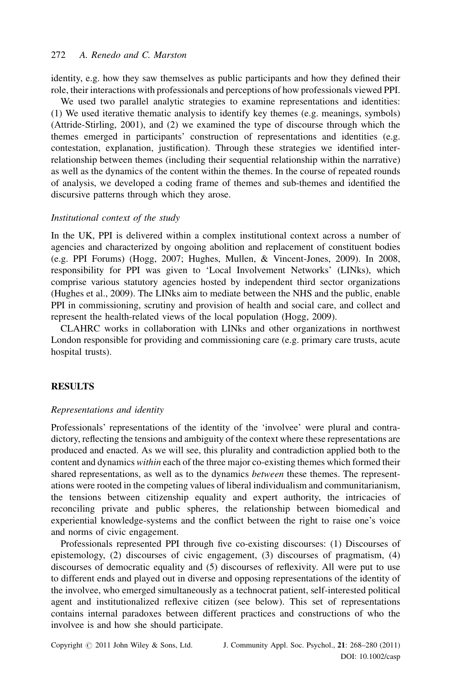identity, e.g. how they saw themselves as public participants and how they defined their role, their interactions with professionals and perceptions of how professionals viewed PPI.

We used two parallel analytic strategies to examine representations and identities: (1) We used iterative thematic analysis to identify key themes (e.g. meanings, symbols) (Attride-Stirling, 2001), and (2) we examined the type of discourse through which the themes emerged in participants' construction of representations and identities (e.g. contestation, explanation, justification). Through these strategies we identified interrelationship between themes (including their sequential relationship within the narrative) as well as the dynamics of the content within the themes. In the course of repeated rounds of analysis, we developed a coding frame of themes and sub-themes and identified the discursive patterns through which they arose.

#### Institutional context of the study

In the UK, PPI is delivered within a complex institutional context across a number of agencies and characterized by ongoing abolition and replacement of constituent bodies (e.g. PPI Forums) (Hogg, 2007; Hughes, Mullen, & Vincent-Jones, 2009). In 2008, responsibility for PPI was given to 'Local Involvement Networks' (LINks), which comprise various statutory agencies hosted by independent third sector organizations (Hughes et al., 2009). The LINks aim to mediate between the NHS and the public, enable PPI in commissioning, scrutiny and provision of health and social care, and collect and represent the health-related views of the local population (Hogg, 2009).

CLAHRC works in collaboration with LINks and other organizations in northwest London responsible for providing and commissioning care (e.g. primary care trusts, acute hospital trusts).

### RESULTS

#### Representations and identity

Professionals' representations of the identity of the 'involvee' were plural and contradictory, reflecting the tensions and ambiguity of the context where these representations are produced and enacted. As we will see, this plurality and contradiction applied both to the content and dynamics within each of the three major co-existing themes which formed their shared representations, as well as to the dynamics *between* these themes. The representations were rooted in the competing values of liberal individualism and communitarianism, the tensions between citizenship equality and expert authority, the intricacies of reconciling private and public spheres, the relationship between biomedical and experiential knowledge-systems and the conflict between the right to raise one's voice and norms of civic engagement.

Professionals represented PPI through five co-existing discourses: (1) Discourses of epistemology, (2) discourses of civic engagement, (3) discourses of pragmatism, (4) discourses of democratic equality and (5) discourses of reflexivity. All were put to use to different ends and played out in diverse and opposing representations of the identity of the involvee, who emerged simultaneously as a technocrat patient, self-interested political agent and institutionalized reflexive citizen (see below). This set of representations contains internal paradoxes between different practices and constructions of who the involvee is and how she should participate.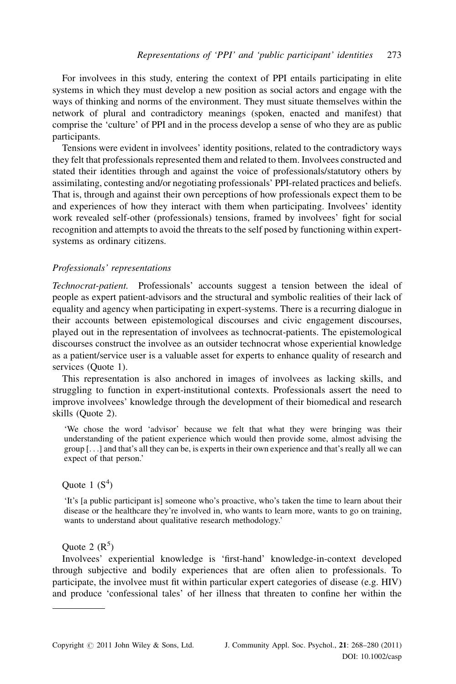For involvees in this study, entering the context of PPI entails participating in elite systems in which they must develop a new position as social actors and engage with the ways of thinking and norms of the environment. They must situate themselves within the network of plural and contradictory meanings (spoken, enacted and manifest) that comprise the 'culture' of PPI and in the process develop a sense of who they are as public participants.

Tensions were evident in involvees' identity positions, related to the contradictory ways they felt that professionals represented them and related to them. Involvees constructed and stated their identities through and against the voice of professionals/statutory others by assimilating, contesting and/or negotiating professionals' PPI-related practices and beliefs. That is, through and against their own perceptions of how professionals expect them to be and experiences of how they interact with them when participating. Involvees' identity work revealed self-other (professionals) tensions, framed by involvees' fight for social recognition and attempts to avoid the threats to the self posed by functioning within expertsystems as ordinary citizens.

#### Professionals' representations

Technocrat-patient. Professionals' accounts suggest a tension between the ideal of people as expert patient-advisors and the structural and symbolic realities of their lack of equality and agency when participating in expert-systems. There is a recurring dialogue in their accounts between epistemological discourses and civic engagement discourses, played out in the representation of involvees as technocrat-patients. The epistemological discourses construct the involvee as an outsider technocrat whose experiential knowledge as a patient/service user is a valuable asset for experts to enhance quality of research and services (Quote 1).

This representation is also anchored in images of involvees as lacking skills, and struggling to function in expert-institutional contexts. Professionals assert the need to improve involvees' knowledge through the development of their biomedical and research skills (Quote 2).

'We chose the word 'advisor' because we felt that what they were bringing was their understanding of the patient experience which would then provide some, almost advising the group [...] and that's all they can be, is experts in their own experience and that's really all we can expect of that person.'

# Quote 1  $(S^4)$

'It's [a public participant is] someone who's proactive, who's taken the time to learn about their disease or the healthcare they're involved in, who wants to learn more, wants to go on training, wants to understand about qualitative research methodology.'

Quote 2  $(R^5)$ 

Involvees' experiential knowledge is 'first-hand' knowledge-in-context developed through subjective and bodily experiences that are often alien to professionals. To participate, the involvee must fit within particular expert categories of disease (e.g. HIV) and produce 'confessional tales' of her illness that threaten to confine her within the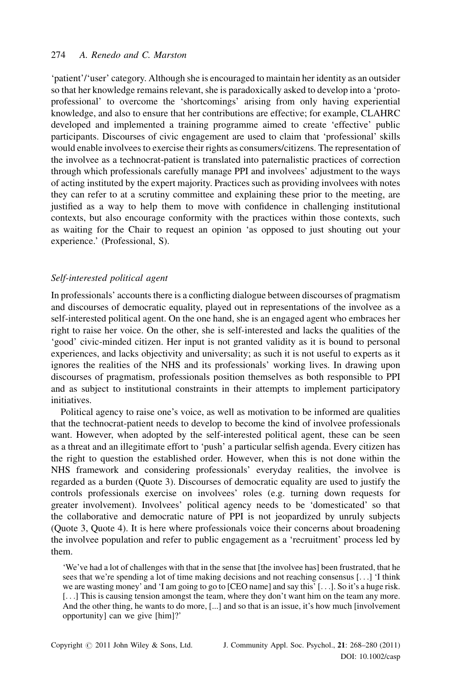#### 274 A. Renedo and C. Marston

'patient'/'user' category. Although she is encouraged to maintain her identity as an outsider so that her knowledge remains relevant, she is paradoxically asked to develop into a 'protoprofessional' to overcome the 'shortcomings' arising from only having experiential knowledge, and also to ensure that her contributions are effective; for example, CLAHRC developed and implemented a training programme aimed to create 'effective' public participants. Discourses of civic engagement are used to claim that 'professional' skills would enable involvees to exercise their rights as consumers/citizens. The representation of the involvee as a technocrat-patient is translated into paternalistic practices of correction through which professionals carefully manage PPI and involvees' adjustment to the ways of acting instituted by the expert majority. Practices such as providing involvees with notes they can refer to at a scrutiny committee and explaining these prior to the meeting, are justified as a way to help them to move with confidence in challenging institutional contexts, but also encourage conformity with the practices within those contexts, such as waiting for the Chair to request an opinion 'as opposed to just shouting out your experience.' (Professional, S).

## Self-interested political agent

In professionals' accounts there is a conflicting dialogue between discourses of pragmatism and discourses of democratic equality, played out in representations of the involvee as a self-interested political agent. On the one hand, she is an engaged agent who embraces her right to raise her voice. On the other, she is self-interested and lacks the qualities of the 'good' civic-minded citizen. Her input is not granted validity as it is bound to personal experiences, and lacks objectivity and universality; as such it is not useful to experts as it ignores the realities of the NHS and its professionals' working lives. In drawing upon discourses of pragmatism, professionals position themselves as both responsible to PPI and as subject to institutional constraints in their attempts to implement participatory initiatives.

Political agency to raise one's voice, as well as motivation to be informed are qualities that the technocrat-patient needs to develop to become the kind of involvee professionals want. However, when adopted by the self-interested political agent, these can be seen as a threat and an illegitimate effort to 'push' a particular selfish agenda. Every citizen has the right to question the established order. However, when this is not done within the NHS framework and considering professionals' everyday realities, the involvee is regarded as a burden (Quote 3). Discourses of democratic equality are used to justify the controls professionals exercise on involvees' roles (e.g. turning down requests for greater involvement). Involvees' political agency needs to be 'domesticated' so that the collaborative and democratic nature of PPI is not jeopardized by unruly subjects (Quote 3, Quote 4). It is here where professionals voice their concerns about broadening the involvee population and refer to public engagement as a 'recruitment' process led by them.

'We've had a lot of challenges with that in the sense that [the involvee has] been frustrated, that he sees that we're spending a lot of time making decisions and not reaching consensus  $[\ldots]$  'I think we are wasting money' and 'I am going to go to [CEO name] and say this' [...]. So it's a huge risk. [...] This is causing tension amongst the team, where they don't want him on the team any more. And the other thing, he wants to do more, [...] and so that is an issue, it's how much [involvement opportunity] can we give [him]?'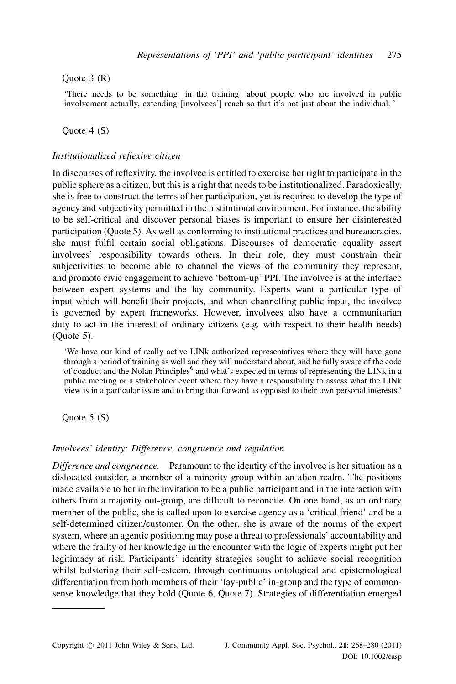## Quote 3 (R)

'There needs to be something [in the training] about people who are involved in public involvement actually, extending [involvees'] reach so that it's not just about the individual. '

#### Quote 4 (S)

#### Institutionalized reflexive citizen

In discourses of reflexivity, the involvee is entitled to exercise her right to participate in the public sphere as a citizen, but this is a right that needs to be institutionalized. Paradoxically, she is free to construct the terms of her participation, yet is required to develop the type of agency and subjectivity permitted in the institutional environment. For instance, the ability to be self-critical and discover personal biases is important to ensure her disinterested participation (Quote 5). As well as conforming to institutional practices and bureaucracies, she must fulfil certain social obligations. Discourses of democratic equality assert involvees' responsibility towards others. In their role, they must constrain their subjectivities to become able to channel the views of the community they represent, and promote civic engagement to achieve 'bottom-up' PPI. The involvee is at the interface between expert systems and the lay community. Experts want a particular type of input which will benefit their projects, and when channelling public input, the involvee is governed by expert frameworks. However, involvees also have a communitarian duty to act in the interest of ordinary citizens (e.g. with respect to their health needs) (Quote 5).

'We have our kind of really active LINk authorized representatives where they will have gone through a period of training as well and they will understand about, and be fully aware of the code of conduct and the Nolan Principles<sup>6</sup> and what's expected in terms of representing the LINk in a public meeting or a stakeholder event where they have a responsibility to assess what the LINk view is in a particular issue and to bring that forward as opposed to their own personal interests.'

## Quote 5 (S)

#### Involvees' identity: Difference, congruence and regulation

Difference and congruence. Paramount to the identity of the involvee is her situation as a dislocated outsider, a member of a minority group within an alien realm. The positions made available to her in the invitation to be a public participant and in the interaction with others from a majority out-group, are difficult to reconcile. On one hand, as an ordinary member of the public, she is called upon to exercise agency as a 'critical friend' and be a self-determined citizen/customer. On the other, she is aware of the norms of the expert system, where an agentic positioning may pose a threat to professionals' accountability and where the frailty of her knowledge in the encounter with the logic of experts might put her legitimacy at risk. Participants' identity strategies sought to achieve social recognition whilst bolstering their self-esteem, through continuous ontological and epistemological differentiation from both members of their 'lay-public' in-group and the type of commonsense knowledge that they hold (Quote 6, Quote 7). Strategies of differentiation emerged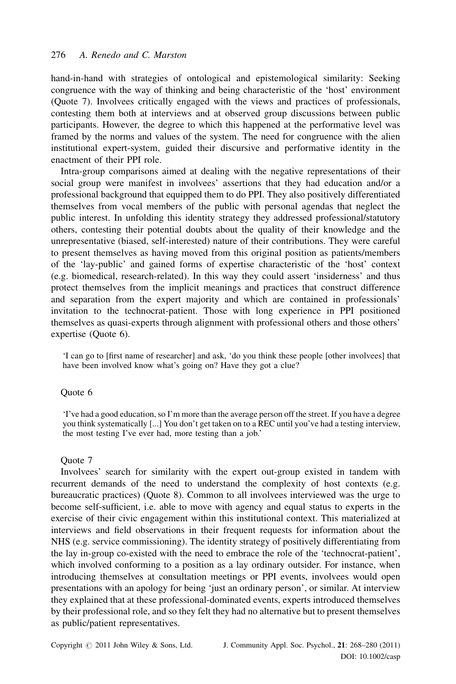hand-in-hand with strategies of ontological and epistemological similarity: Seeking congruence with the way of thinking and being characteristic of the 'host' environment (Quote 7). Involvees critically engaged with the views and practices of professionals, contesting them both at interviews and at observed group discussions between public participants. However, the degree to which this happened at the performative level was framed by the norms and values of the system. The need for congruence with the alien institutional expert-system, guided their discursive and performative identity in the enactment of their PPI role.

Intra-group comparisons aimed at dealing with the negative representations of their social group were manifest in involvees' assertions that they had education and/or a professional background that equipped them to do PPI. They also positively differentiated themselves from vocal members of the public with personal agendas that neglect the public interest. In unfolding this identity strategy they addressed professional/statutory others, contesting their potential doubts about the quality of their knowledge and the unrepresentative (biased, self-interested) nature of their contributions. They were careful to present themselves as having moved from this original position as patients/members of the 'lay-public' and gained forms of expertise characteristic of the 'host' context (e.g. biomedical, research-related). In this way they could assert 'insiderness' and thus protect themselves from the implicit meanings and practices that construct difference and separation from the expert majority and which are contained in professionals' invitation to the technocrat-patient. Those with long experience in PPI positioned themselves as quasi-experts through alignment with professional others and those others' expertise (Quote 6).

'I can go to [first name of researcher] and ask, 'do you think these people [other involvees] that have been involved know what's going on? Have they got a clue?

#### Quote 6

'I've had a good education, so I'm more than the average person off the street. If you have a degree you think systematically [...] You don't get taken on to a REC until you've had a testing interview, the most testing I've ever had, more testing than a job.'

#### Quote 7

Involvees' search for similarity with the expert out-group existed in tandem with recurrent demands of the need to understand the complexity of host contexts (e.g. bureaucratic practices) (Quote 8). Common to all involvees interviewed was the urge to become self-sufficient, i.e. able to move with agency and equal status to experts in the exercise of their civic engagement within this institutional context. This materialized at interviews and field observations in their frequent requests for information about the NHS (e.g. service commissioning). The identity strategy of positively differentiating from the lay in-group co-existed with the need to embrace the role of the 'technocrat-patient', which involved conforming to a position as a lay ordinary outsider. For instance, when introducing themselves at consultation meetings or PPI events, involvees would open presentations with an apology for being 'just an ordinary person', or similar. At interview they explained that at these professional-dominated events, experts introduced themselves by their professional role, and so they felt they had no alternative but to present themselves as public/patient representatives.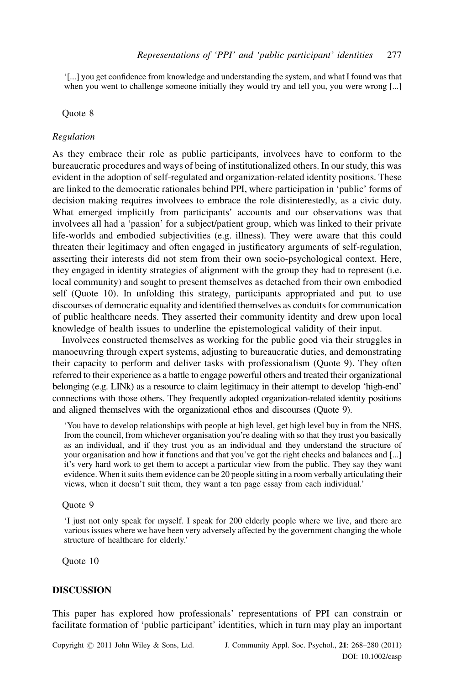'[...] you get confidence from knowledge and understanding the system, and what I found was that when you went to challenge someone initially they would try and tell you, you were wrong [...]

## Quote 8

# Regulation

As they embrace their role as public participants, involvees have to conform to the bureaucratic procedures and ways of being of institutionalized others. In our study, this was evident in the adoption of self-regulated and organization-related identity positions. These are linked to the democratic rationales behind PPI, where participation in 'public' forms of decision making requires involvees to embrace the role disinterestedly, as a civic duty. What emerged implicitly from participants' accounts and our observations was that involvees all had a 'passion' for a subject/patient group, which was linked to their private life-worlds and embodied subjectivities (e.g. illness). They were aware that this could threaten their legitimacy and often engaged in justificatory arguments of self-regulation, asserting their interests did not stem from their own socio-psychological context. Here, they engaged in identity strategies of alignment with the group they had to represent (i.e. local community) and sought to present themselves as detached from their own embodied self (Quote 10). In unfolding this strategy, participants appropriated and put to use discourses of democratic equality and identified themselves as conduits for communication of public healthcare needs. They asserted their community identity and drew upon local knowledge of health issues to underline the epistemological validity of their input.

Involvees constructed themselves as working for the public good via their struggles in manoeuvring through expert systems, adjusting to bureaucratic duties, and demonstrating their capacity to perform and deliver tasks with professionalism (Quote 9). They often referred to their experience as a battle to engage powerful others and treated their organizational belonging (e.g. LINk) as a resource to claim legitimacy in their attempt to develop 'high-end' connections with those others. They frequently adopted organization-related identity positions and aligned themselves with the organizational ethos and discourses (Quote 9).

'You have to develop relationships with people at high level, get high level buy in from the NHS, from the council, from whichever organisation you're dealing with so that they trust you basically as an individual, and if they trust you as an individual and they understand the structure of your organisation and how it functions and that you've got the right checks and balances and [...] it's very hard work to get them to accept a particular view from the public. They say they want evidence. When it suits them evidence can be 20 people sitting in a room verbally articulating their views, when it doesn't suit them, they want a ten page essay from each individual.'

#### Quote 9

'I just not only speak for myself. I speak for 200 elderly people where we live, and there are various issues where we have been very adversely affected by the government changing the whole structure of healthcare for elderly.'

Quote 10

#### DISCUSSION

This paper has explored how professionals' representations of PPI can constrain or facilitate formation of 'public participant' identities, which in turn may play an important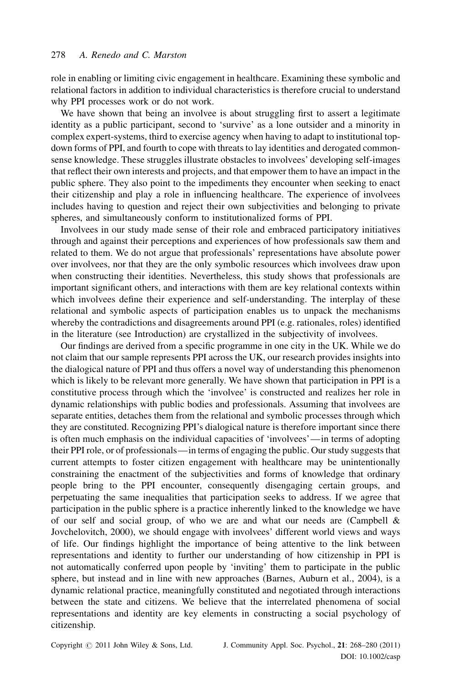#### 278 A. Renedo and C. Marston

role in enabling or limiting civic engagement in healthcare. Examining these symbolic and relational factors in addition to individual characteristics is therefore crucial to understand why PPI processes work or do not work.

We have shown that being an involvee is about struggling first to assert a legitimate identity as a public participant, second to 'survive' as a lone outsider and a minority in complex expert-systems, third to exercise agency when having to adapt to institutional topdown forms of PPI, and fourth to cope with threats to lay identities and derogated commonsense knowledge. These struggles illustrate obstacles to involvees' developing self-images that reflect their own interests and projects, and that empower them to have an impact in the public sphere. They also point to the impediments they encounter when seeking to enact their citizenship and play a role in influencing healthcare. The experience of involvees includes having to question and reject their own subjectivities and belonging to private spheres, and simultaneously conform to institutionalized forms of PPI.

Involvees in our study made sense of their role and embraced participatory initiatives through and against their perceptions and experiences of how professionals saw them and related to them. We do not argue that professionals' representations have absolute power over involvees, nor that they are the only symbolic resources which involvees draw upon when constructing their identities. Nevertheless, this study shows that professionals are important significant others, and interactions with them are key relational contexts within which involvees define their experience and self-understanding. The interplay of these relational and symbolic aspects of participation enables us to unpack the mechanisms whereby the contradictions and disagreements around PPI (e.g. rationales, roles) identified in the literature (see Introduction) are crystallized in the subjectivity of involvees.

Our findings are derived from a specific programme in one city in the UK. While we do not claim that our sample represents PPI across the UK, our research provides insights into the dialogical nature of PPI and thus offers a novel way of understanding this phenomenon which is likely to be relevant more generally. We have shown that participation in PPI is a constitutive process through which the 'involvee' is constructed and realizes her role in dynamic relationships with public bodies and professionals. Assuming that involvees are separate entities, detaches them from the relational and symbolic processes through which they are constituted. Recognizing PPI's dialogical nature is therefore important since there is often much emphasis on the individual capacities of 'involvees'—in terms of adopting their PPI role, or of professionals—in terms of engaging the public. Our study suggests that current attempts to foster citizen engagement with healthcare may be unintentionally constraining the enactment of the subjectivities and forms of knowledge that ordinary people bring to the PPI encounter, consequently disengaging certain groups, and perpetuating the same inequalities that participation seeks to address. If we agree that participation in the public sphere is a practice inherently linked to the knowledge we have of our self and social group, of who we are and what our needs are (Campbell  $\&$ Jovchelovitch, 2000), we should engage with involvees' different world views and ways of life. Our findings highlight the importance of being attentive to the link between representations and identity to further our understanding of how citizenship in PPI is not automatically conferred upon people by 'inviting' them to participate in the public sphere, but instead and in line with new approaches (Barnes, Auburn et al., 2004), is a dynamic relational practice, meaningfully constituted and negotiated through interactions between the state and citizens. We believe that the interrelated phenomena of social representations and identity are key elements in constructing a social psychology of citizenship.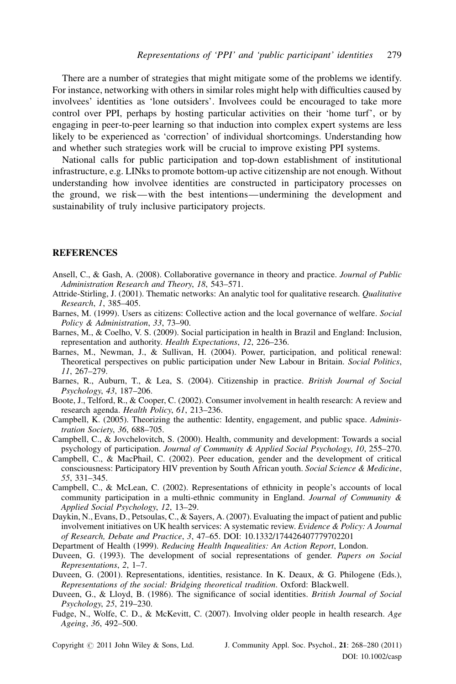There are a number of strategies that might mitigate some of the problems we identify. For instance, networking with others in similar roles might help with difficulties caused by involvees' identities as 'lone outsiders'. Involvees could be encouraged to take more control over PPI, perhaps by hosting particular activities on their 'home turf', or by engaging in peer-to-peer learning so that induction into complex expert systems are less likely to be experienced as 'correction' of individual shortcomings. Understanding how and whether such strategies work will be crucial to improve existing PPI systems.

National calls for public participation and top-down establishment of institutional infrastructure, e.g. LINks to promote bottom-up active citizenship are not enough. Without understanding how involvee identities are constructed in participatory processes on the ground, we risk—with the best intentions—undermining the development and sustainability of truly inclusive participatory projects.

#### **REFERENCES**

- Ansell, C., & Gash, A. (2008). Collaborative governance in theory and practice. Journal of Public Administration Research and Theory, 18, 543–571.
- Attride-Stirling, J. (2001). Thematic networks: An analytic tool for qualitative research. Qualitative Research, 1, 385–405.
- Barnes, M. (1999). Users as citizens: Collective action and the local governance of welfare. Social Policy & Administration, 33, 73–90.
- Barnes, M., & Coelho, V. S. (2009). Social participation in health in Brazil and England: Inclusion, representation and authority. Health Expectations, 12, 226–236.
- Barnes, M., Newman, J., & Sullivan, H. (2004). Power, participation, and political renewal: Theoretical perspectives on public participation under New Labour in Britain. Social Politics, 11, 267–279.
- Barnes, R., Auburn, T., & Lea, S. (2004). Citizenship in practice. British Journal of Social Psychology, 43, 187–206.
- Boote, J., Telford, R., & Cooper, C. (2002). Consumer involvement in health research: A review and research agenda. Health Policy, 61, 213–236.
- Campbell, K. (2005). Theorizing the authentic: Identity, engagement, and public space. Administration Society, 36, 688–705.
- Campbell, C., & Jovchelovitch, S. (2000). Health, community and development: Towards a social psychology of participation. Journal of Community & Applied Social Psychology, 10, 255–270.
- Campbell, C., & MacPhail, C. (2002). Peer education, gender and the development of critical consciousness: Participatory HIV prevention by South African youth. Social Science & Medicine, 55, 331–345.
- Campbell, C., & McLean, C. (2002). Representations of ethnicity in people's accounts of local community participation in a multi-ethnic community in England. Journal of Community  $\&$ Applied Social Psychology, 12, 13–29.
- Daykin, N., Evans, D., Petsoulas, C., & Sayers, A. (2007). Evaluating the impact of patient and public involvement initiatives on UK health services: A systematic review. Evidence & Policy: A Journal of Research, Debate and Practice, 3, 47–65. DOI: 10.1332/174426407779702201
- Department of Health (1999). Reducing Health Inquealities: An Action Report, London.
- Duveen, G. (1993). The development of social representations of gender. Papers on Social Representations, 2, 1–7.
- Duveen, G. (2001). Representations, identities, resistance. In K. Deaux, & G. Philogene (Eds.), Representations of the social: Bridging theoretical tradition. Oxford: Blackwell.
- Duveen, G., & Lloyd, B. (1986). The significance of social identities. British Journal of Social Psychology, 25, 219–230.
- Fudge, N., Wolfe, C. D., & McKevitt, C. (2007). Involving older people in health research. Age Ageing, 36, 492–500.